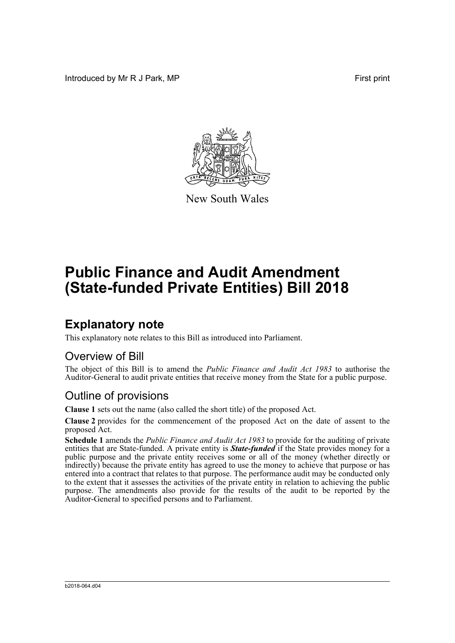Introduced by Mr R J Park, MP **First print** 



New South Wales

# **Public Finance and Audit Amendment (State-funded Private Entities) Bill 2018**

### **Explanatory note**

This explanatory note relates to this Bill as introduced into Parliament.

#### Overview of Bill

The object of this Bill is to amend the *Public Finance and Audit Act 1983* to authorise the Auditor-General to audit private entities that receive money from the State for a public purpose.

#### Outline of provisions

**Clause 1** sets out the name (also called the short title) of the proposed Act.

**Clause 2** provides for the commencement of the proposed Act on the date of assent to the proposed Act.

**Schedule 1** amends the *Public Finance and Audit Act 1983* to provide for the auditing of private entities that are State-funded. A private entity is *State-funded* if the State provides money for a public purpose and the private entity receives some or all of the money (whether directly or indirectly) because the private entity has agreed to use the money to achieve that purpose or has entered into a contract that relates to that purpose. The performance audit may be conducted only to the extent that it assesses the activities of the private entity in relation to achieving the public purpose. The amendments also provide for the results of the audit to be reported by the Auditor-General to specified persons and to Parliament.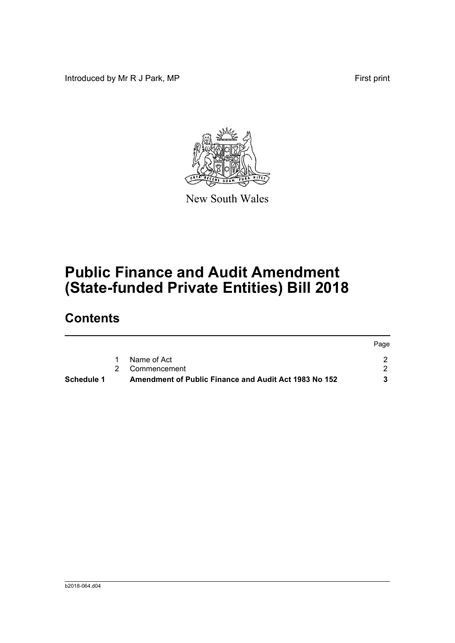Introduced by Mr R J Park, MP **First** print



New South Wales

# **Public Finance and Audit Amendment (State-funded Private Entities) Bill 2018**

## **Contents**

| Schedule 1 | Amendment of Public Finance and Audit Act 1983 No 152 |      |
|------------|-------------------------------------------------------|------|
|            | 2 Commencement                                        |      |
|            | Name of Act                                           |      |
|            |                                                       | Page |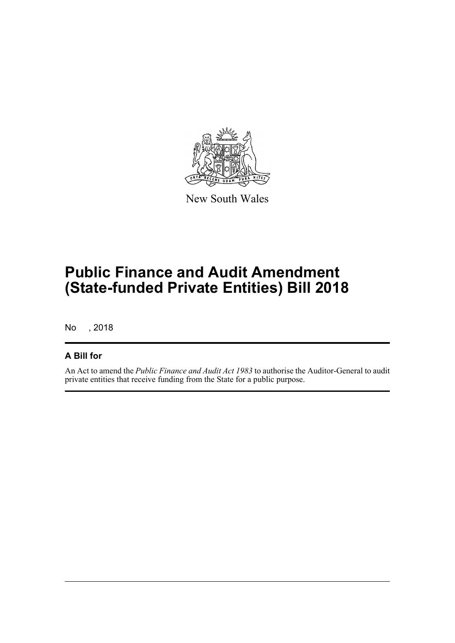

New South Wales

## **Public Finance and Audit Amendment (State-funded Private Entities) Bill 2018**

No , 2018

#### **A Bill for**

An Act to amend the *Public Finance and Audit Act 1983* to authorise the Auditor-General to audit private entities that receive funding from the State for a public purpose.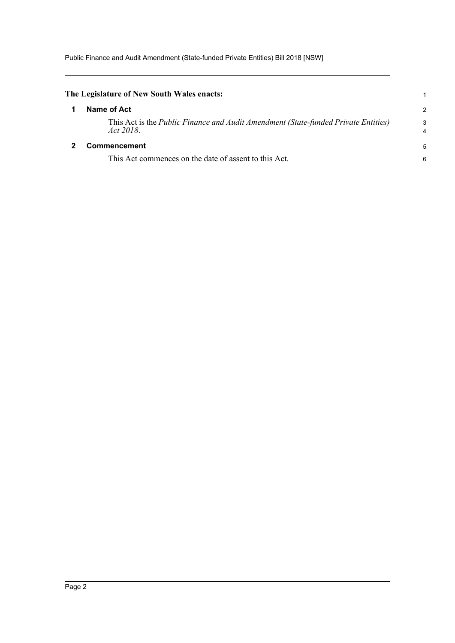Public Finance and Audit Amendment (State-funded Private Entities) Bill 2018 [NSW]

<span id="page-3-1"></span><span id="page-3-0"></span>

| The Legislature of New South Wales enacts:                                                             |        |
|--------------------------------------------------------------------------------------------------------|--------|
| Name of Act                                                                                            | 2      |
| This Act is the <i>Public Finance and Audit Amendment (State-funded Private Entities)</i><br>Act 2018. | 3<br>4 |
| <b>Commencement</b>                                                                                    | 5      |
| This Act commences on the date of assent to this Act.                                                  | 6      |
|                                                                                                        |        |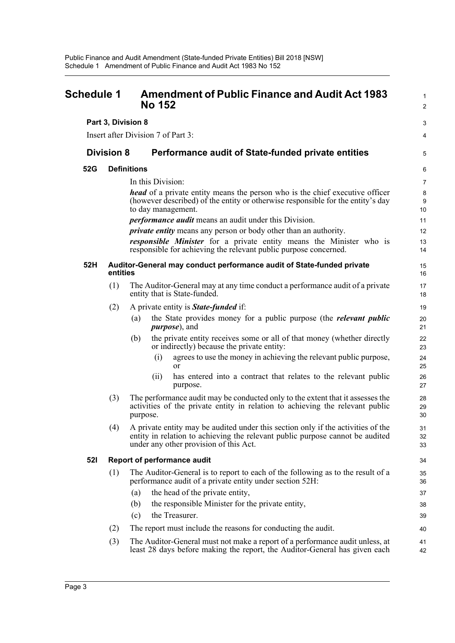<span id="page-4-0"></span>

| <b>Schedule 1</b> |                    | <b>Amendment of Public Finance and Audit Act 1983</b><br><b>No 152</b>                                                                                                                                      |                  |
|-------------------|--------------------|-------------------------------------------------------------------------------------------------------------------------------------------------------------------------------------------------------------|------------------|
|                   | Part 3, Division 8 |                                                                                                                                                                                                             | 3                |
|                   |                    | Insert after Division 7 of Part 3:                                                                                                                                                                          | 4                |
|                   | <b>Division 8</b>  | Performance audit of State-funded private entities                                                                                                                                                          | 5                |
| 52G               | <b>Definitions</b> |                                                                                                                                                                                                             | 6                |
|                   |                    | In this Division:                                                                                                                                                                                           | $\overline{7}$   |
|                   |                    | <b>head</b> of a private entity means the person who is the chief executive officer<br>(however described) of the entity or otherwise responsible for the entity's day<br>to day management.                | 8<br>$9\,$<br>10 |
|                   |                    | <i>performance audit</i> means an audit under this Division.                                                                                                                                                | 11               |
|                   |                    | <i>private entity</i> means any person or body other than an authority.                                                                                                                                     | 12               |
|                   |                    | responsible Minister for a private entity means the Minister who is<br>responsible for achieving the relevant public purpose concerned.                                                                     | 13<br>14         |
| 52H               | entities           | Auditor-General may conduct performance audit of State-funded private                                                                                                                                       | 15<br>16         |
|                   | (1)                | The Auditor-General may at any time conduct a performance audit of a private<br>entity that is State-funded.                                                                                                | 17<br>18         |
|                   | (2)                | A private entity is <b>State-funded</b> if:                                                                                                                                                                 | 19               |
|                   |                    | the State provides money for a public purpose (the <i>relevant public</i><br>(a)<br><i>purpose</i> ), and                                                                                                   | 20<br>21         |
|                   |                    | the private entity receives some or all of that money (whether directly<br>(b)<br>or indirectly) because the private entity:                                                                                | 22<br>23         |
|                   |                    | agrees to use the money in achieving the relevant public purpose,<br>(i)<br>or                                                                                                                              | 24<br>25         |
|                   |                    | has entered into a contract that relates to the relevant public<br>(ii)<br>purpose.                                                                                                                         | 26<br>27         |
|                   | (3)                | The performance audit may be conducted only to the extent that it assesses the<br>activities of the private entity in relation to achieving the relevant public<br>purpose.                                 | 28<br>29<br>30   |
|                   | (4)                | A private entity may be audited under this section only if the activities of the<br>entity in relation to achieving the relevant public purpose cannot be audited<br>under any other provision of this Act. | 31<br>32<br>33   |
| <b>521</b>        |                    | <b>Report of performance audit</b>                                                                                                                                                                          | 34               |
|                   | (1)                | The Auditor-General is to report to each of the following as to the result of a<br>performance audit of a private entity under section 52H:                                                                 | 35<br>36         |
|                   |                    | the head of the private entity,<br>(a)                                                                                                                                                                      | 37               |
|                   |                    | the responsible Minister for the private entity,<br>(b)                                                                                                                                                     | 38               |
|                   |                    | the Treasurer.<br>(c)                                                                                                                                                                                       | 39               |
|                   | (2)                | The report must include the reasons for conducting the audit.                                                                                                                                               | 40               |
|                   | (3)                | The Auditor-General must not make a report of a performance audit unless, at<br>least 28 days before making the report, the Auditor-General has given each                                                  | 41<br>42         |